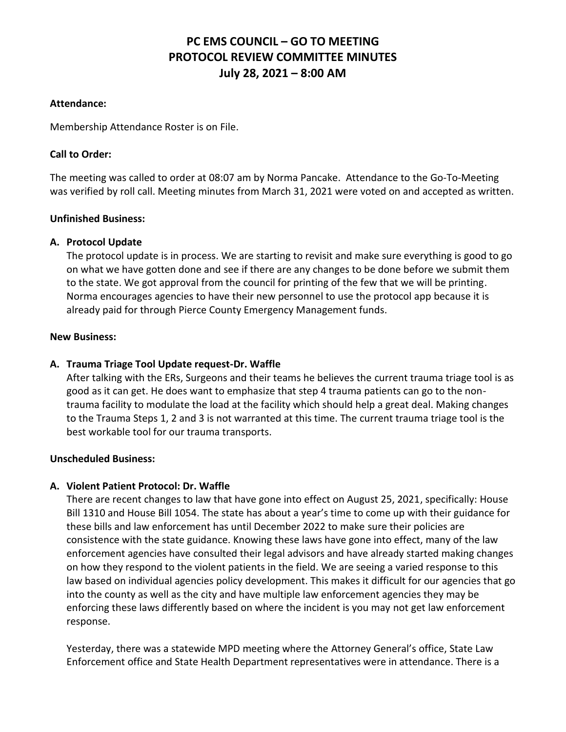# **PC EMS COUNCIL – GO TO MEETING PROTOCOL REVIEW COMMITTEE MINUTES July 28, 2021 – 8:00 AM**

# **Attendance:**

Membership Attendance Roster is on File.

# **Call to Order:**

The meeting was called to order at 08:07 am by Norma Pancake. Attendance to the Go-To-Meeting was verified by roll call. Meeting minutes from March 31, 2021 were voted on and accepted as written.

### **Unfinished Business:**

# **A. Protocol Update**

The protocol update is in process. We are starting to revisit and make sure everything is good to go on what we have gotten done and see if there are any changes to be done before we submit them to the state. We got approval from the council for printing of the few that we will be printing. Norma encourages agencies to have their new personnel to use the protocol app because it is already paid for through Pierce County Emergency Management funds.

#### **New Business:**

# **A. Trauma Triage Tool Update request-Dr. Waffle**

After talking with the ERs, Surgeons and their teams he believes the current trauma triage tool is as good as it can get. He does want to emphasize that step 4 trauma patients can go to the nontrauma facility to modulate the load at the facility which should help a great deal. Making changes to the Trauma Steps 1, 2 and 3 is not warranted at this time. The current trauma triage tool is the best workable tool for our trauma transports.

#### **Unscheduled Business:**

# **A. Violent Patient Protocol: Dr. Waffle**

There are recent changes to law that have gone into effect on August 25, 2021, specifically: House Bill 1310 and House Bill 1054. The state has about a year's time to come up with their guidance for these bills and law enforcement has until December 2022 to make sure their policies are consistence with the state guidance. Knowing these laws have gone into effect, many of the law enforcement agencies have consulted their legal advisors and have already started making changes on how they respond to the violent patients in the field. We are seeing a varied response to this law based on individual agencies policy development. This makes it difficult for our agencies that go into the county as well as the city and have multiple law enforcement agencies they may be enforcing these laws differently based on where the incident is you may not get law enforcement response.

Yesterday, there was a statewide MPD meeting where the Attorney General's office, State Law Enforcement office and State Health Department representatives were in attendance. There is a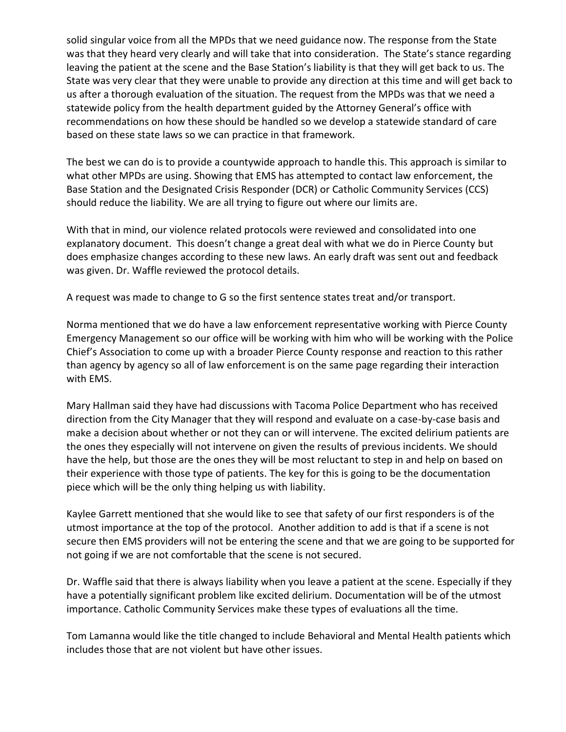solid singular voice from all the MPDs that we need guidance now. The response from the State was that they heard very clearly and will take that into consideration. The State's stance regarding leaving the patient at the scene and the Base Station's liability is that they will get back to us. The State was very clear that they were unable to provide any direction at this time and will get back to us after a thorough evaluation of the situation. The request from the MPDs was that we need a statewide policy from the health department guided by the Attorney General's office with recommendations on how these should be handled so we develop a statewide standard of care based on these state laws so we can practice in that framework.

The best we can do is to provide a countywide approach to handle this. This approach is similar to what other MPDs are using. Showing that EMS has attempted to contact law enforcement, the Base Station and the Designated Crisis Responder (DCR) or Catholic Community Services (CCS) should reduce the liability. We are all trying to figure out where our limits are.

With that in mind, our violence related protocols were reviewed and consolidated into one explanatory document. This doesn't change a great deal with what we do in Pierce County but does emphasize changes according to these new laws. An early draft was sent out and feedback was given. Dr. Waffle reviewed the protocol details.

A request was made to change to G so the first sentence states treat and/or transport.

Norma mentioned that we do have a law enforcement representative working with Pierce County Emergency Management so our office will be working with him who will be working with the Police Chief's Association to come up with a broader Pierce County response and reaction to this rather than agency by agency so all of law enforcement is on the same page regarding their interaction with EMS.

Mary Hallman said they have had discussions with Tacoma Police Department who has received direction from the City Manager that they will respond and evaluate on a case-by-case basis and make a decision about whether or not they can or will intervene. The excited delirium patients are the ones they especially will not intervene on given the results of previous incidents. We should have the help, but those are the ones they will be most reluctant to step in and help on based on their experience with those type of patients. The key for this is going to be the documentation piece which will be the only thing helping us with liability.

Kaylee Garrett mentioned that she would like to see that safety of our first responders is of the utmost importance at the top of the protocol. Another addition to add is that if a scene is not secure then EMS providers will not be entering the scene and that we are going to be supported for not going if we are not comfortable that the scene is not secured.

Dr. Waffle said that there is always liability when you leave a patient at the scene. Especially if they have a potentially significant problem like excited delirium. Documentation will be of the utmost importance. Catholic Community Services make these types of evaluations all the time.

Tom Lamanna would like the title changed to include Behavioral and Mental Health patients which includes those that are not violent but have other issues.